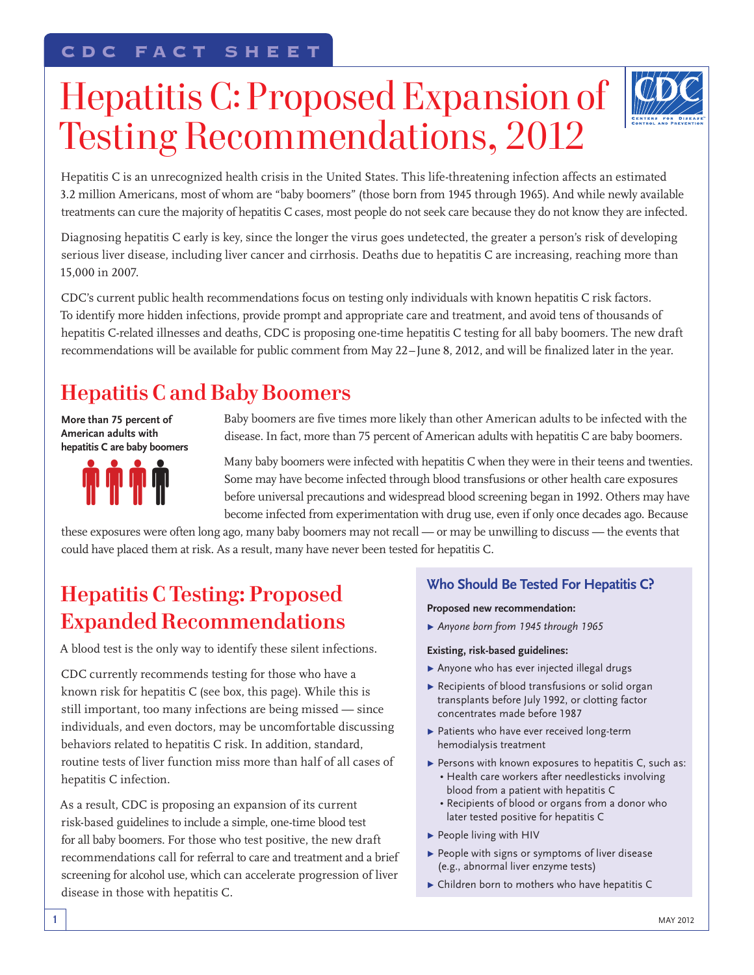# Hepatitis C: Proposed Expansion of Testing Recommendations, 2012



Hepatitis C is an unrecognized health crisis in the United States. This life-threatening infection affects an estimated 3.2 million Americans, most of whom are "baby boomers" (those born from 1945 through 1965). And while newly available treatments can cure the majority of hepatitis C cases, most people do not seek care because they do not know they are infected.

Diagnosing hepatitis C early is key, since the longer the virus goes undetected, the greater a person's risk of developing serious liver disease, including liver cancer and cirrhosis. Deaths due to hepatitis C are increasing, reaching more than 15,000 in 2007.

CDC's current public health recommendations focus on testing only individuals with known hepatitis C risk factors. To identify more hidden infections, provide prompt and appropriate care and treatment, and avoid tens of thousands of hepatitis C-related illnesses and deaths, CDC is proposing one-time hepatitis C testing for all baby boomers. The new draft recommendations will be available for public comment from May 22–June 8, 2012, and will be finalized later in the year.

# **Hepatitis C and Baby Boomers**

**More than 75 percent of American adults with hepatitis C are baby boomers**



Baby boomers are five times more likely than other American adults to be infected with the disease. In fact, more than 75 percent of American adults with hepatitis C are baby boomers.

Many baby boomers were infected with hepatitis C when they were in their teens and twenties. Some may have become infected through blood transfusions or other health care exposures before universal precautions and widespread blood screening began in 1992. Others may have become infected from experimentation with drug use, even if only once decades ago. Because

these exposures were often long ago, many baby boomers may not recall — or may be unwilling to discuss — the events that could have placed them at risk. As a result, many have never been tested for hepatitis C.

### **Hepatitis C Testing: Proposed Expanded Recommendations**

A blood test is the only way to identify these silent infections.

CDC currently recommends testing for those who have a known risk for hepatitis C (see box, this page). While this is still important, too many infections are being missed — since individuals, and even doctors, may be uncomfortable discussing behaviors related to hepatitis C risk. In addition, standard, routine tests of liver function miss more than half of all cases of hepatitis C infection.

As a result, CDC is proposing an expansion of its current risk-based guidelines to include a simple, one-time blood test for all baby boomers. For those who test positive, the new draft recommendations call for referral to care and treatment and a brief screening for alcohol use, which can accelerate progression of liver disease in those with hepatitis C.

### **Who Should Be Tested For Hepatitis C?**

#### **Proposed new recommendation:**

▶ Anyone born from 1945 through 1965

#### **Existing, risk-based guidelines:**

- $\blacktriangleright$  Anyone who has ever injected illegal drugs
- $\blacktriangleright$  Recipients of blood transfusions or solid organ transplants before July 1992, or clotting factor concentrates made before 1987
- $\blacktriangleright$  Patients who have ever received long-term hemodialysis treatment
- $\blacktriangleright$  Persons with known exposures to hepatitis C, such as:
	- Health care workers after needlesticks involving blood from a patient with hepatitis C
	- Recipients of blood or organs from a donor who later tested positive for hepatitis C
- $\blacktriangleright$  People living with HIV
- $\blacktriangleright$  People with signs or symptoms of liver disease (e.g., abnormal liver enzyme tests)
- $\triangleright$  Children born to mothers who have hepatitis C

1